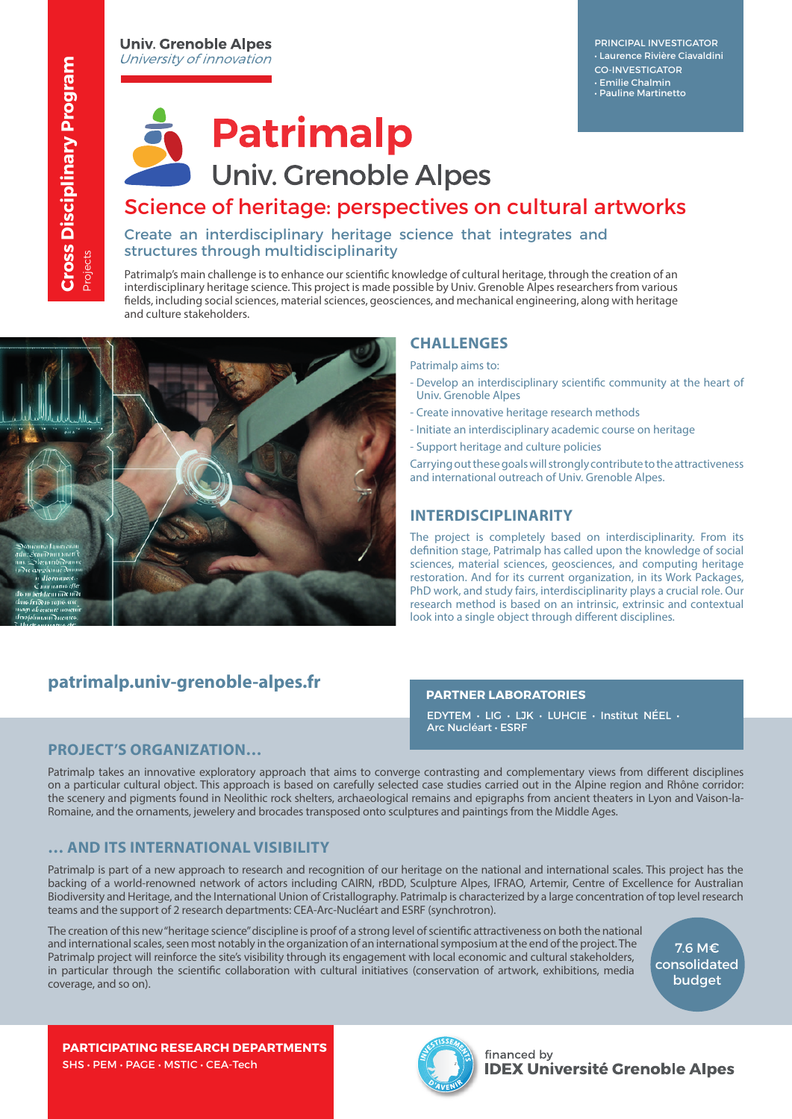PRINCIPAL INVESTIGATOR • Laurence Rivière Ciavaldini CO-INVESTIGATOR • Emilie Chalmin • Pauline Martinetto



# Patrimalp

## **Univ. Grenoble Alpes**

## Science of heritage: perspectives on cultural artworks

### Create an interdisciplinary heritage science that integrates and structures through multidisciplinarity

Patrimalp's main challenge is to enhance our scientific knowledge of cultural heritage, through the creation of an interdisciplinary heritage science. This project is made possible by Univ. Grenoble Alpes researchers from various fields, including social sciences, material sciences, geosciences, and mechanical engineering, along with heritage and culture stakeholders.



### **CHALLENGES**

Patrimalp aims to:

- Develop an interdisciplinary scientific community at the heart of Univ. Grenoble Alpes
- Create innovative heritage research methods
- Initiate an interdisciplinary academic course on heritage
- Support heritage and culture policies

Carrying out these goals will strongly contribute to the attractiveness and international outreach of Univ. Grenoble Alpes.

### **INTERDISCIPLINARITY**

The project is completely based on interdisciplinarity. From its definition stage, Patrimalp has called upon the knowledge of social sciences, material sciences, geosciences, and computing heritage restoration. And for its current organization, in its Work Packages, PhD work, and study fairs, interdisciplinarity plays a crucial role. Our research method is based on an intrinsic, extrinsic and contextual look into a single object through different disciplines.

### **patrimalp.univ-grenoble-alpes.fr**

#### **PARTNER LABORATORIES**

EDYTEM • LIG • LJK • LUHCIE • Institut NÉEL • Arc Nucléart • ESRF

### **PROJECT'S ORGANIZATION…**

Patrimalp takes an innovative exploratory approach that aims to converge contrasting and complementary views from different disciplines on a particular cultural object. This approach is based on carefully selected case studies carried out in the Alpine region and Rhône corridor: the scenery and pigments found in Neolithic rock shelters, archaeological remains and epigraphs from ancient theaters in Lyon and Vaison-la-Romaine, and the ornaments, jewelery and brocades transposed onto sculptures and paintings from the Middle Ages.

### **… AND ITS INTERNATIONAL VISIBILITY**

Patrimalp is part of a new approach to research and recognition of our heritage on the national and international scales. This project has the backing of a world-renowned network of actors including CAIRN, rBDD, Sculpture Alpes, IFRAO, Artemir, Centre of Excellence for Australian Biodiversity and Heritage, and the International Union of Cristallography. Patrimalp is characterized by a large concentration of top level research teams and the support of 2 research departments: CEA-Arc-Nucléart and ESRF (synchrotron).

The creation of this new "heritage science" discipline is proof of a strong level of scientific attractiveness on both the national and international scales, seen most notably in the organization of an international symposium at the end of the project. The Patrimalp project will reinforce the site's visibility through its engagement with local economic and cultural stakeholders, in particular through the scientific collaboration with cultural initiatives (conservation of artwork, exhibitions, media coverage, and so on).

7.6 M€ consolidated budget

**PARTICIPATING RESEARCH DEPARTMENTS** SHS • PEM • PAGE • MSTIC • CEA-Tech